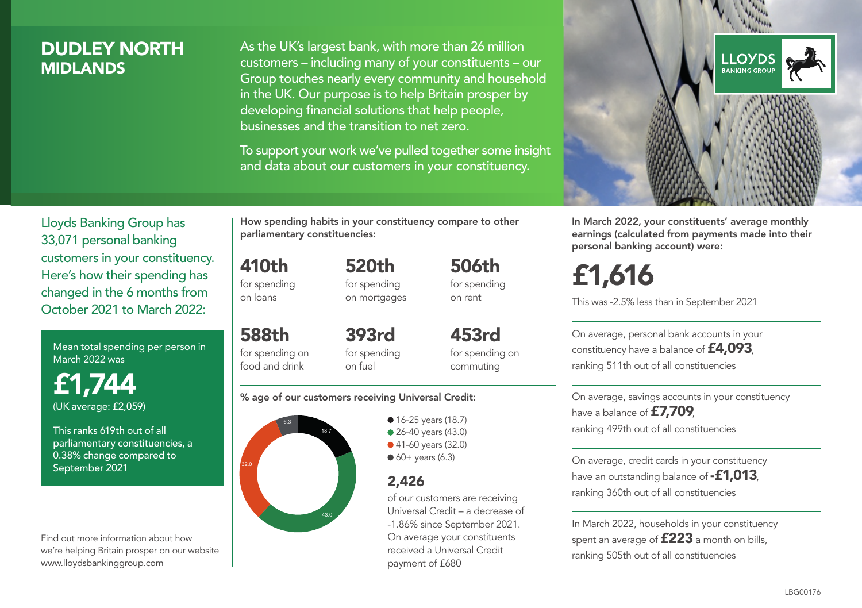### DUDLEY NORTH **MIDI ANDS**

As the UK's largest bank, with more than 26 million customers – including many of your constituents – our Group touches nearly every community and household in the UK. Our purpose is to help Britain prosper by developing financial solutions that help people, businesses and the transition to net zero.

To support your work we've pulled together some insight and data about our customers in your constituency.



In March 2022, your constituents' average monthly earnings (calculated from payments made into their personal banking account) were:

# £1,616

This was -2.5% less than in September 2021

On average, personal bank accounts in your constituency have a balance of £4,093, ranking 511th out of all constituencies

On average, savings accounts in your constituency have a balance of £7,709, ranking 499th out of all constituencies

On average, credit cards in your constituency have an outstanding balance of **-£1,013**, ranking 360th out of all constituencies

In March 2022, households in your constituency spent an average of **£223** a month on bills, ranking 505th out of all constituencies

Lloyds Banking Group has 33,071 personal banking customers in your constituency. Here's how their spending has changed in the 6 months from October 2021 to March 2022:

Mean total spending per person in March 2022 was

£1,744 (UK average: £2,059)

This ranks 619th out of all parliamentary constituencies, a 0.38% change compared to September 2021

Find out more information about how we're helping Britain prosper on our website www.lloydsbankinggroup.com

How spending habits in your constituency compare to other parliamentary constituencies:

> 520th for spending on mortgages

410th for spending on loans

food and drink

588th for spending on 393rd

for spending on fuel

for spending on commuting

506th for spending on rent

453rd

#### % age of our customers receiving Universal Credit:



• 16-25 years (18.7) ● 26-40 years (43.0) ● 41-60 years (32.0)  $60+$  years (6.3)

### 2,426

of our customers are receiving Universal Credit – a decrease of -1.86% since September 2021. On average your constituents received a Universal Credit payment of £680